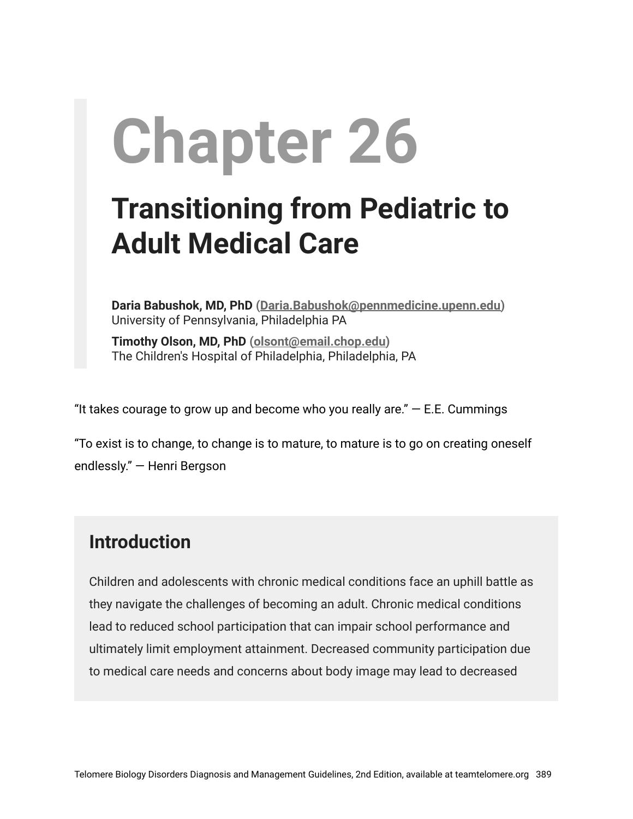# **Chapter 26**

# **Transitioning from Pediatric to Adult Medical Care**

**Daria Babushok, MD, PhD ([Daria.Babushok@pennmedicine.upenn.edu](mailto:Daria.Babushok@pennmedicine.upenn.edu))** University of Pennsylvania, Philadelphia PA

**Timothy Olson, MD, PhD [\(olsont@email.chop.edu\)](mailto:olsont@email.chop.edu)** The Children's Hospital of Philadelphia, Philadelphia, PA

"It takes courage to grow up and become who you really are."  $-$  E.E. Cummings

"To exist is to change, to change is to mature, to mature is to go on creating oneself endlessly." ― Henri Bergson

# **Introduction**

Children and adolescents with chronic medical conditions face an uphill battle as they navigate the challenges of becoming an adult. Chronic medical conditions lead to reduced school participation that can impair school performance and ultimately limit employment attainment. Decreased community participation due to medical care needs and concerns about body image may lead to decreased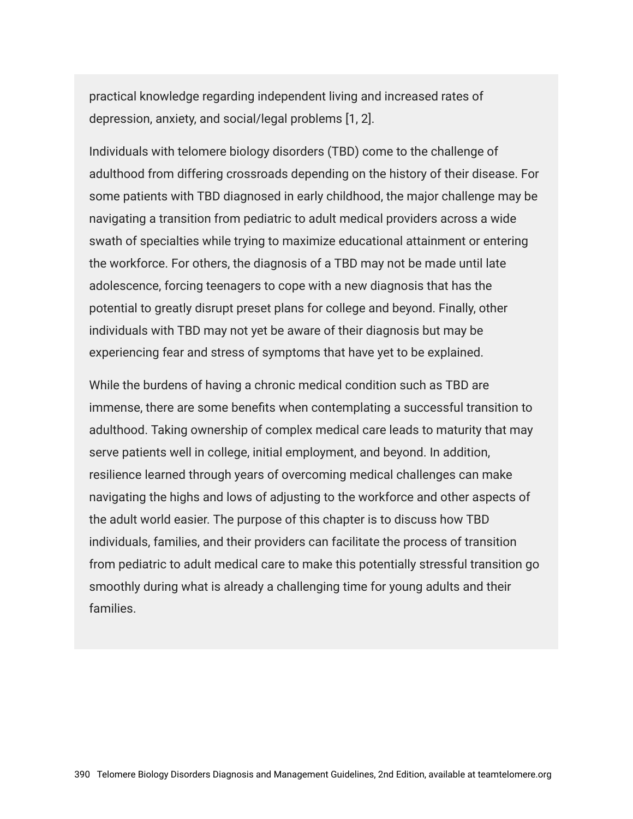practical knowledge regarding independent living and increased rates of depression, anxiety, and social/legal problems [1, 2].

Individuals with telomere biology disorders (TBD) come to the challenge of adulthood from differing crossroads depending on the history of their disease. For some patients with TBD diagnosed in early childhood, the major challenge may be navigating a transition from pediatric to adult medical providers across a wide swath of specialties while trying to maximize educational attainment or entering the workforce. For others, the diagnosis of a TBD may not be made until late adolescence, forcing teenagers to cope with a new diagnosis that has the potential to greatly disrupt preset plans for college and beyond. Finally, other individuals with TBD may not yet be aware of their diagnosis but may be experiencing fear and stress of symptoms that have yet to be explained.

While the burdens of having a chronic medical condition such as TBD are immense, there are some benefits when contemplating a successful transition to adulthood. Taking ownership of complex medical care leads to maturity that may serve patients well in college, initial employment, and beyond. In addition, resilience learned through years of overcoming medical challenges can make navigating the highs and lows of adjusting to the workforce and other aspects of the adult world easier. The purpose of this chapter is to discuss how TBD individuals, families, and their providers can facilitate the process of transition from pediatric to adult medical care to make this potentially stressful transition go smoothly during what is already a challenging time for young adults and their families.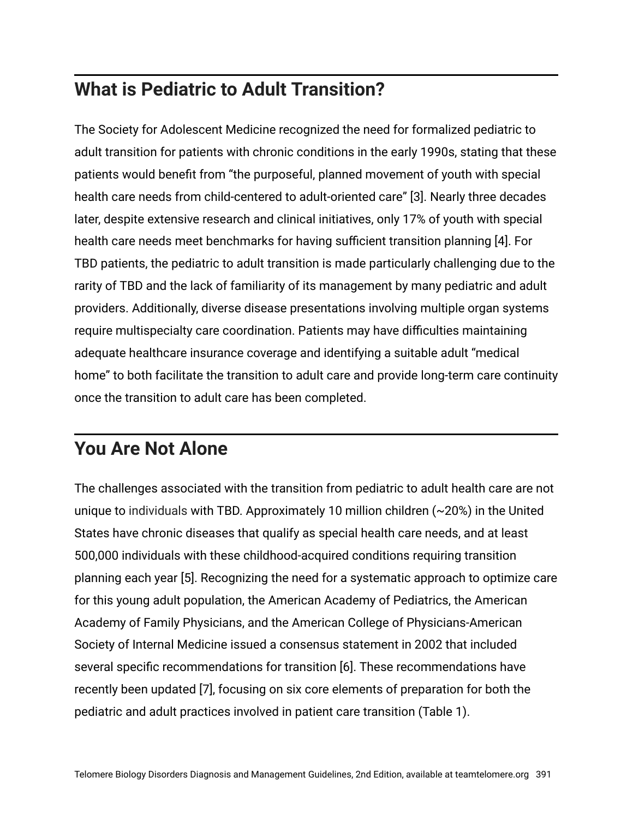# **What is Pediatric to Adult Transition?**

The Society for Adolescent Medicine recognized the need for formalized pediatric to adult transition for patients with chronic conditions in the early 1990s, stating that these patients would benefit from "the purposeful, planned movement of youth with special health care needs from child-centered to adult-oriented care" [3]. Nearly three decades later, despite extensive research and clinical initiatives, only 17% of youth with special health care needs meet benchmarks for having sufficient transition planning [4]. For TBD patients, the pediatric to adult transition is made particularly challenging due to the rarity of TBD and the lack of familiarity of its management by many pediatric and adult providers. Additionally, diverse disease presentations involving multiple organ systems require multispecialty care coordination. Patients may have difficulties maintaining adequate healthcare insurance coverage and identifying a suitable adult "medical home" to both facilitate the transition to adult care and provide long-term care continuity once the transition to adult care has been completed.

# **You Are Not Alone**

The challenges associated with the transition from pediatric to adult health care are not unique to individuals with TBD. Approximately 10 million children (~20%) in the United States have chronic diseases that qualify as special health care needs, and at least 500,000 individuals with these childhood-acquired conditions requiring transition planning each year [5]. Recognizing the need for a systematic approach to optimize care for this young adult population, the American Academy of Pediatrics, the American Academy of Family Physicians, and the American College of Physicians-American Society of Internal Medicine issued a consensus statement in 2002 that included several specific recommendations for transition [6]. These recommendations have recently been updated [7], focusing on six core elements of preparation for both the pediatric and adult practices involved in patient care transition (Table 1).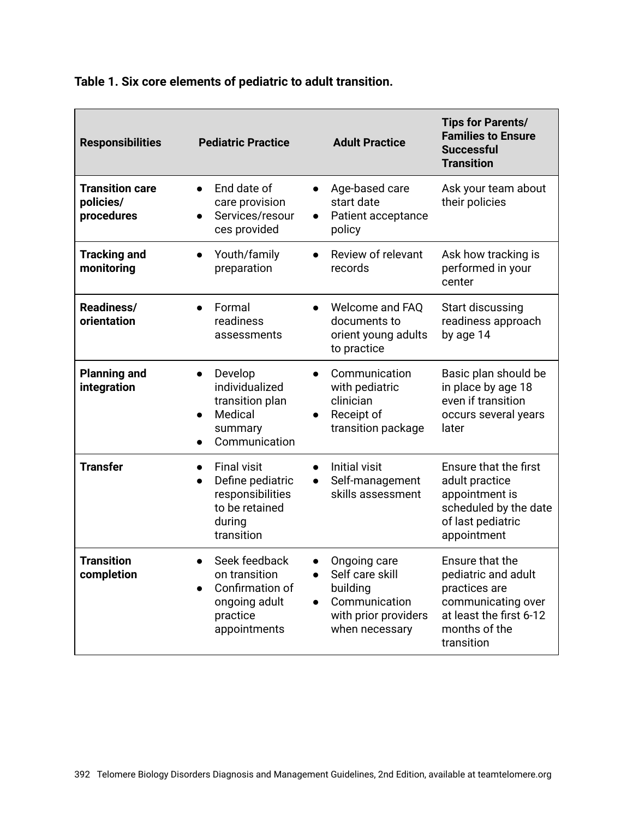| <b>Responsibilities</b>                           | <b>Pediatric Practice</b>                                                                                                                   | <b>Adult Practice</b>                                                                                  | <b>Tips for Parents/</b><br><b>Families to Ensure</b><br><b>Successful</b><br><b>Transition</b>                                         |
|---------------------------------------------------|---------------------------------------------------------------------------------------------------------------------------------------------|--------------------------------------------------------------------------------------------------------|-----------------------------------------------------------------------------------------------------------------------------------------|
| <b>Transition care</b><br>policies/<br>procedures | End date of<br>$\bullet$<br>$\bullet$<br>care provision<br>Services/resour<br>$\bullet$<br>ces provided                                     | Age-based care<br>start date<br>Patient acceptance<br>policy                                           | Ask your team about<br>their policies                                                                                                   |
| <b>Tracking and</b><br>monitoring                 | Youth/family<br>preparation                                                                                                                 | Review of relevant<br>records                                                                          | Ask how tracking is<br>performed in your<br>center                                                                                      |
| Readiness/<br>orientation                         | Formal<br>$\bullet$<br>$\bullet$<br>readiness<br>assessments                                                                                | Welcome and FAQ<br>documents to<br>orient young adults<br>to practice                                  | Start discussing<br>readiness approach<br>by age 14                                                                                     |
| <b>Planning and</b><br>integration                | Develop<br>$\bullet$<br>individualized<br>transition plan<br>Medical<br>$\bullet$<br>$\bullet$<br>summary<br>Communication                  | Communication<br>with pediatric<br>clinician<br>Receipt of<br>transition package                       | Basic plan should be<br>in place by age 18<br>even if transition<br>occurs several years<br>later                                       |
| <b>Transfer</b>                                   | <b>Final visit</b><br>$\bullet$<br>$\bullet$<br>Define pediatric<br>$\bullet$<br>responsibilities<br>to be retained<br>during<br>transition | Initial visit<br>Self-management<br>skills assessment                                                  | Ensure that the first<br>adult practice<br>appointment is<br>scheduled by the date<br>of last pediatric<br>appointment                  |
| <b>Transition</b><br>completion                   | Seek feedback<br>on transition<br>$\bullet$<br>Confirmation of<br>ongoing adult<br>practice<br>appointments                                 | Ongoing care<br>Self care skill<br>building<br>Communication<br>with prior providers<br>when necessary | Ensure that the<br>pediatric and adult<br>practices are<br>communicating over<br>at least the first 6-12<br>months of the<br>transition |

#### **Table 1. Six core elements of pediatric to adult transition.**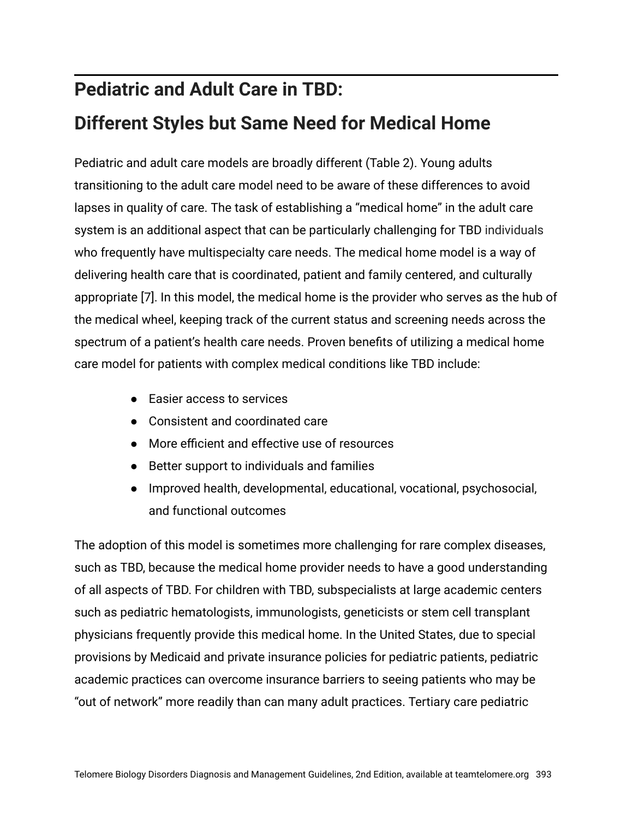# **Pediatric and Adult Care in TBD: Different Styles but Same Need for Medical Home**

Pediatric and adult care models are broadly different (Table 2). Young adults transitioning to the adult care model need to be aware of these differences to avoid lapses in quality of care. The task of establishing a "medical home" in the adult care system is an additional aspect that can be particularly challenging for TBD individuals who frequently have multispecialty care needs. The medical home model is a way of delivering health care that is coordinated, patient and family centered, and culturally appropriate [7]. In this model, the medical home is the provider who serves as the hub of the medical wheel, keeping track of the current status and screening needs across the spectrum of a patient's health care needs. Proven benefits of utilizing a medical home care model for patients with complex medical conditions like TBD include:

- Easier access to services
- Consistent and coordinated care
- More efficient and effective use of resources
- Better support to individuals and families
- Improved health, developmental, educational, vocational, psychosocial, and functional outcomes

The adoption of this model is sometimes more challenging for rare complex diseases, such as TBD, because the medical home provider needs to have a good understanding of all aspects of TBD. For children with TBD, subspecialists at large academic centers such as pediatric hematologists, immunologists, geneticists or stem cell transplant physicians frequently provide this medical home. In the United States, due to special provisions by Medicaid and private insurance policies for pediatric patients, pediatric academic practices can overcome insurance barriers to seeing patients who may be "out of network" more readily than can many adult practices. Tertiary care pediatric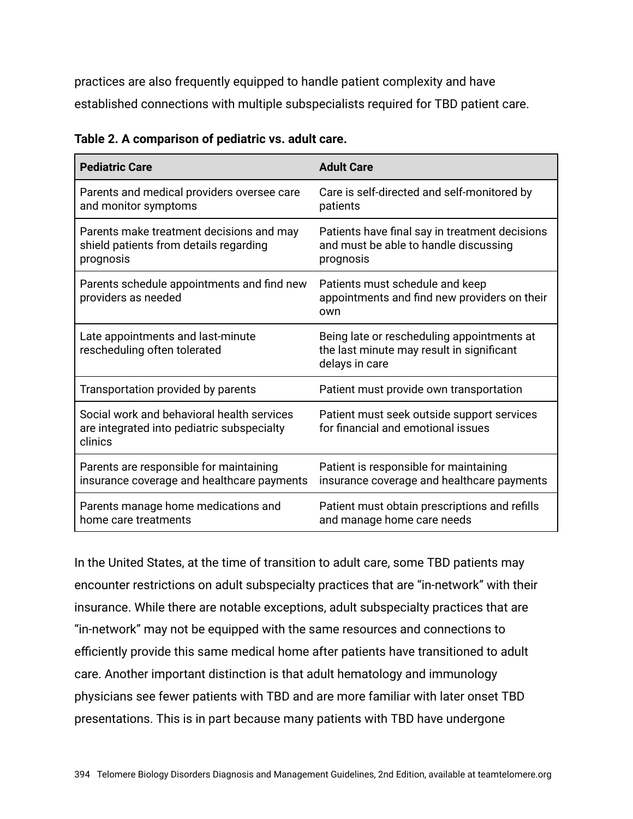practices are also frequently equipped to handle patient complexity and have established connections with multiple subspecialists required for TBD patient care.

| <b>Pediatric Care</b>                                                                               | <b>Adult Care</b>                                                                                         |  |
|-----------------------------------------------------------------------------------------------------|-----------------------------------------------------------------------------------------------------------|--|
| Parents and medical providers oversee care<br>and monitor symptoms                                  | Care is self-directed and self-monitored by<br>patients                                                   |  |
| Parents make treatment decisions and may<br>shield patients from details regarding<br>prognosis     | Patients have final say in treatment decisions<br>and must be able to handle discussing<br>prognosis      |  |
| Parents schedule appointments and find new<br>providers as needed                                   | Patients must schedule and keep<br>appointments and find new providers on their<br>own                    |  |
| Late appointments and last-minute<br>rescheduling often tolerated                                   | Being late or rescheduling appointments at<br>the last minute may result in significant<br>delays in care |  |
| Transportation provided by parents                                                                  | Patient must provide own transportation                                                                   |  |
| Social work and behavioral health services<br>are integrated into pediatric subspecialty<br>clinics | Patient must seek outside support services<br>for financial and emotional issues                          |  |
| Parents are responsible for maintaining<br>insurance coverage and healthcare payments               | Patient is responsible for maintaining<br>insurance coverage and healthcare payments                      |  |
| Parents manage home medications and<br>home care treatments                                         | Patient must obtain prescriptions and refills<br>and manage home care needs                               |  |

**Table 2. A comparison of pediatric vs. adult care.**

In the United States, at the time of transition to adult care, some TBD patients may encounter restrictions on adult subspecialty practices that are "in-network" with their insurance. While there are notable exceptions, adult subspecialty practices that are "in-network" may not be equipped with the same resources and connections to efficiently provide this same medical home after patients have transitioned to adult care. Another important distinction is that adult hematology and immunology physicians see fewer patients with TBD and are more familiar with later onset TBD presentations. This is in part because many patients with TBD have undergone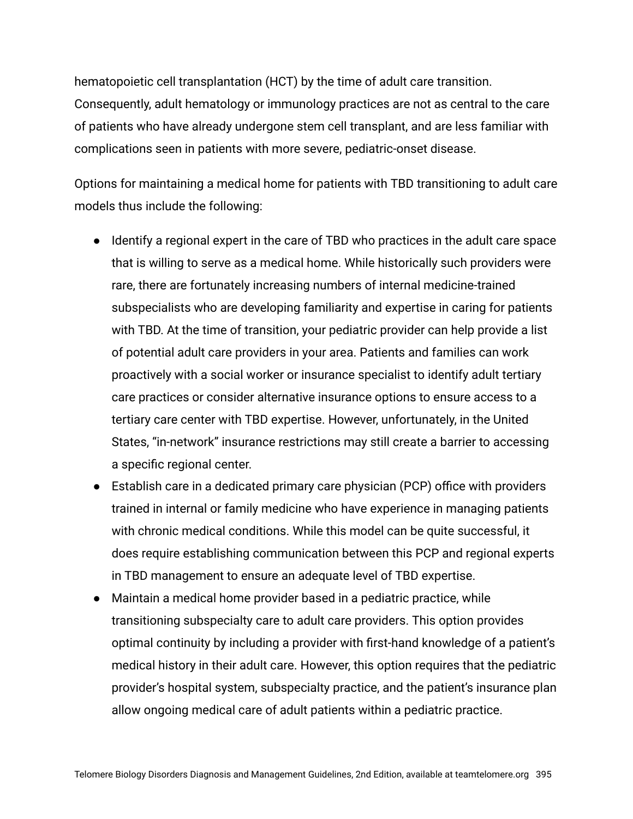hematopoietic cell transplantation (HCT) by the time of adult care transition. Consequently, adult hematology or immunology practices are not as central to the care of patients who have already undergone stem cell transplant, and are less familiar with complications seen in patients with more severe, pediatric-onset disease.

Options for maintaining a medical home for patients with TBD transitioning to adult care models thus include the following:

- Identify a regional expert in the care of TBD who practices in the adult care space that is willing to serve as a medical home. While historically such providers were rare, there are fortunately increasing numbers of internal medicine-trained subspecialists who are developing familiarity and expertise in caring for patients with TBD. At the time of transition, your pediatric provider can help provide a list of potential adult care providers in your area. Patients and families can work proactively with a social worker or insurance specialist to identify adult tertiary care practices or consider alternative insurance options to ensure access to a tertiary care center with TBD expertise. However, unfortunately, in the United States, "in-network" insurance restrictions may still create a barrier to accessing a specific regional center.
- Establish care in a dedicated primary care physician (PCP) office with providers trained in internal or family medicine who have experience in managing patients with chronic medical conditions. While this model can be quite successful, it does require establishing communication between this PCP and regional experts in TBD management to ensure an adequate level of TBD expertise.
- Maintain a medical home provider based in a pediatric practice, while transitioning subspecialty care to adult care providers. This option provides optimal continuity by including a provider with first-hand knowledge of a patient's medical history in their adult care. However, this option requires that the pediatric provider's hospital system, subspecialty practice, and the patient's insurance plan allow ongoing medical care of adult patients within a pediatric practice.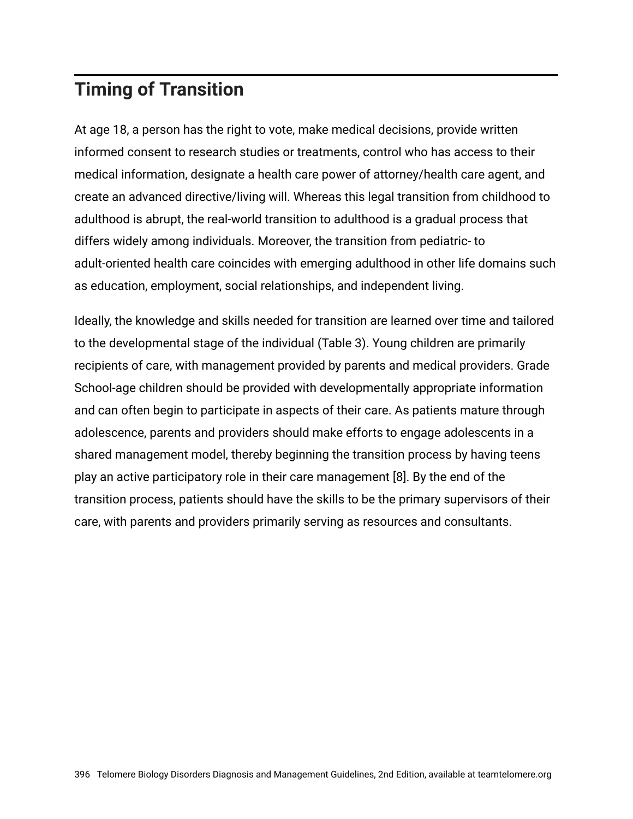# **Timing of Transition**

At age 18, a person has the right to vote, make medical decisions, provide written informed consent to research studies or treatments, control who has access to their medical information, designate a health care power of attorney/health care agent, and create an advanced directive/living will. Whereas this legal transition from childhood to adulthood is abrupt, the real-world transition to adulthood is a gradual process that differs widely among individuals. Moreover, the transition from pediatric- to adult-oriented health care coincides with emerging adulthood in other life domains such as education, employment, social relationships, and independent living.

Ideally, the knowledge and skills needed for transition are learned over time and tailored to the developmental stage of the individual (Table 3). Young children are primarily recipients of care, with management provided by parents and medical providers. Grade School-age children should be provided with developmentally appropriate information and can often begin to participate in aspects of their care. As patients mature through adolescence, parents and providers should make efforts to engage adolescents in a shared management model, thereby beginning the transition process by having teens play an active participatory role in their care management [8]. By the end of the transition process, patients should have the skills to be the primary supervisors of their care, with parents and providers primarily serving as resources and consultants.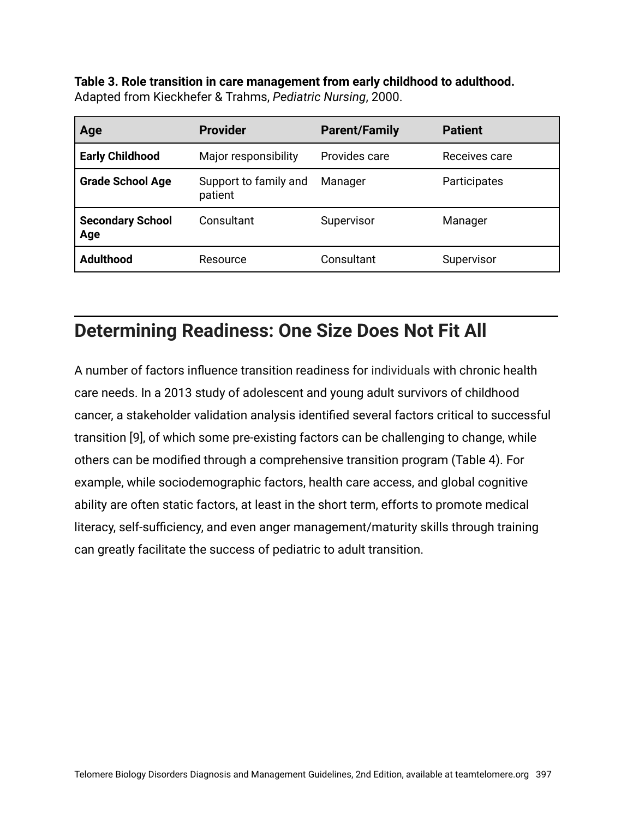**Table 3. Role transition in care management from early childhood to adulthood.** Adapted from Kieckhefer & Trahms, *Pediatric Nursing*, 2000.

| Age                            | <b>Provider</b>                  | <b>Parent/Family</b> | <b>Patient</b> |
|--------------------------------|----------------------------------|----------------------|----------------|
| <b>Early Childhood</b>         | Major responsibility             | Provides care        | Receives care  |
| <b>Grade School Age</b>        | Support to family and<br>patient | Manager              | Participates   |
| <b>Secondary School</b><br>Age | Consultant                       | Supervisor           | Manager        |
| <b>Adulthood</b>               | Resource                         | Consultant           | Supervisor     |

## **Determining Readiness: One Size Does Not Fit All**

A number of factors influence transition readiness for individuals with chronic health care needs. In a 2013 study of adolescent and young adult survivors of childhood cancer, a stakeholder validation analysis identified several factors critical to successful transition [9], of which some pre-existing factors can be challenging to change, while others can be modified through a comprehensive transition program (Table 4). For example, while sociodemographic factors, health care access, and global cognitive ability are often static factors, at least in the short term, efforts to promote medical literacy, self-sufficiency, and even anger management/maturity skills through training can greatly facilitate the success of pediatric to adult transition.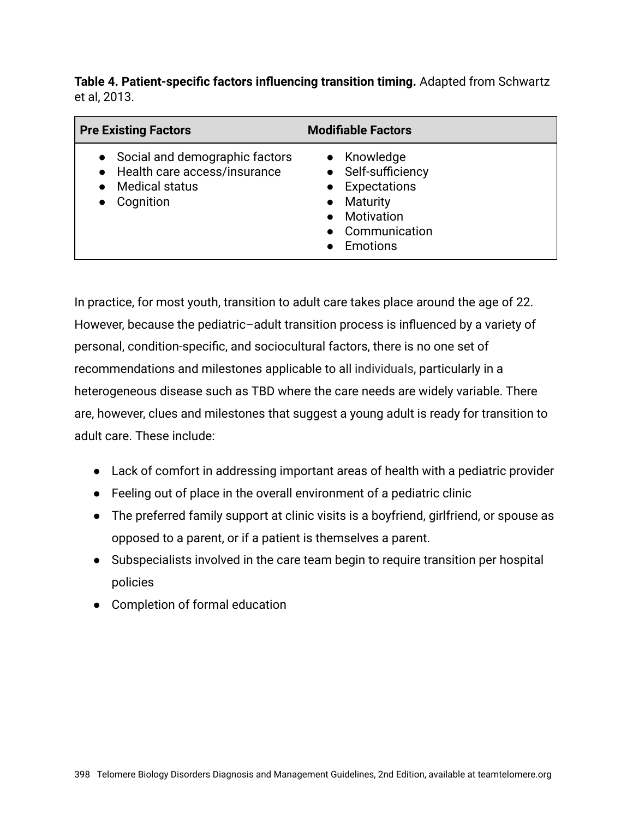**Table 4. Patient-specific factors influencing transition timing.** Adapted from Schwartz et al, 2013.

| <b>Pre Existing Factors</b>                                                                                         | <b>Modifiable Factors</b>                                                                                  |
|---------------------------------------------------------------------------------------------------------------------|------------------------------------------------------------------------------------------------------------|
| • Social and demographic factors<br>Health care access/insurance<br><b>Medical status</b><br>Cognition<br>$\bullet$ | • Knowledge<br>• Self-sufficiency<br>Expectations<br>Maturity<br>Motivation<br>• Communication<br>Emotions |

In practice, for most youth, transition to adult care takes place around the age of 22. However, because the pediatric–adult transition process is influenced by a variety of personal, condition-specific, and sociocultural factors, there is no one set of recommendations and milestones applicable to all individuals, particularly in a heterogeneous disease such as TBD where the care needs are widely variable. There are, however, clues and milestones that suggest a young adult is ready for transition to adult care. These include:

- Lack of comfort in addressing important areas of health with a pediatric provider
- Feeling out of place in the overall environment of a pediatric clinic
- The preferred family support at clinic visits is a boyfriend, girlfriend, or spouse as opposed to a parent, or if a patient is themselves a parent.
- Subspecialists involved in the care team begin to require transition per hospital policies
- Completion of formal education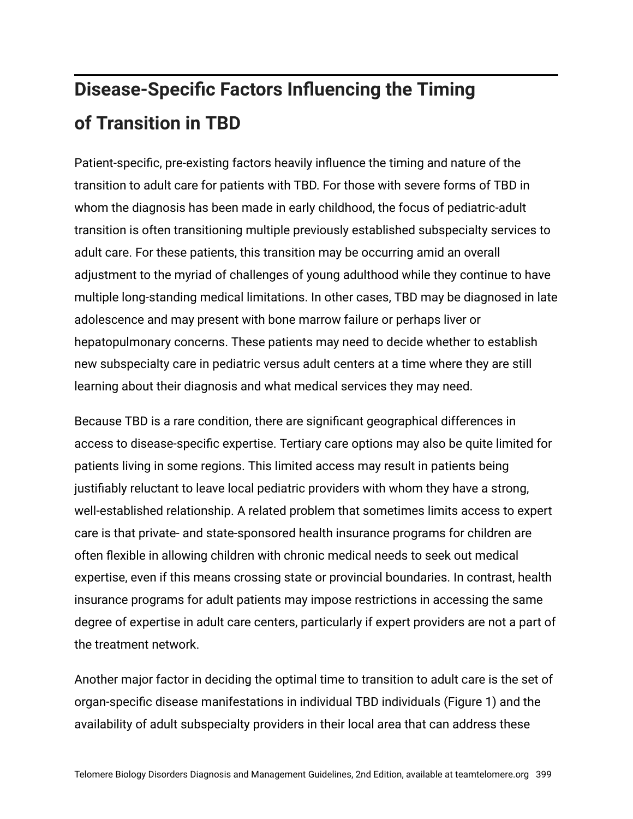# **Disease-Specific Factors Influencing the Timing of Transition in TBD**

Patient-specific, pre-existing factors heavily influence the timing and nature of the transition to adult care for patients with TBD. For those with severe forms of TBD in whom the diagnosis has been made in early childhood, the focus of pediatric-adult transition is often transitioning multiple previously established subspecialty services to adult care. For these patients, this transition may be occurring amid an overall adjustment to the myriad of challenges of young adulthood while they continue to have multiple long-standing medical limitations. In other cases, TBD may be diagnosed in late adolescence and may present with bone marrow failure or perhaps liver or hepatopulmonary concerns. These patients may need to decide whether to establish new subspecialty care in pediatric versus adult centers at a time where they are still learning about their diagnosis and what medical services they may need.

Because TBD is a rare condition, there are significant geographical differences in access to disease-specific expertise. Tertiary care options may also be quite limited for patients living in some regions. This limited access may result in patients being justifiably reluctant to leave local pediatric providers with whom they have a strong, well-established relationship. A related problem that sometimes limits access to expert care is that private- and state-sponsored health insurance programs for children are often flexible in allowing children with chronic medical needs to seek out medical expertise, even if this means crossing state or provincial boundaries. In contrast, health insurance programs for adult patients may impose restrictions in accessing the same degree of expertise in adult care centers, particularly if expert providers are not a part of the treatment network.

Another major factor in deciding the optimal time to transition to adult care is the set of organ-specific disease manifestations in individual TBD individuals (Figure 1) and the availability of adult subspecialty providers in their local area that can address these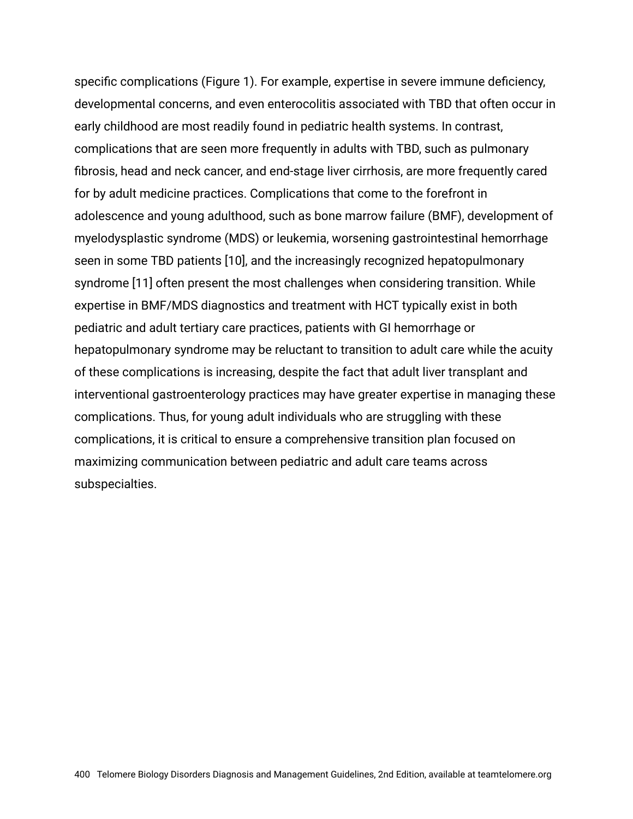specific complications (Figure 1). For example, expertise in severe immune deficiency, developmental concerns, and even enterocolitis associated with TBD that often occur in early childhood are most readily found in pediatric health systems. In contrast, complications that are seen more frequently in adults with TBD, such as pulmonary fibrosis, head and neck cancer, and end-stage liver cirrhosis, are more frequently cared for by adult medicine practices. Complications that come to the forefront in adolescence and young adulthood, such as bone marrow failure (BMF), development of myelodysplastic syndrome (MDS) or leukemia, worsening gastrointestinal hemorrhage seen in some TBD patients [10], and the increasingly recognized hepatopulmonary syndrome [11] often present the most challenges when considering transition. While expertise in BMF/MDS diagnostics and treatment with HCT typically exist in both pediatric and adult tertiary care practices, patients with GI hemorrhage or hepatopulmonary syndrome may be reluctant to transition to adult care while the acuity of these complications is increasing, despite the fact that adult liver transplant and interventional gastroenterology practices may have greater expertise in managing these complications. Thus, for young adult individuals who are struggling with these complications, it is critical to ensure a comprehensive transition plan focused on maximizing communication between pediatric and adult care teams across subspecialties.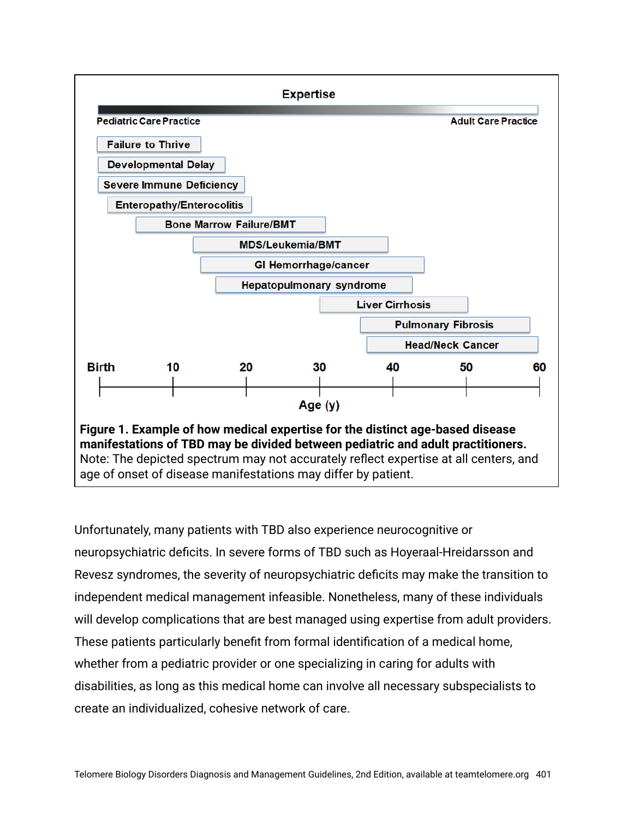

Unfortunately, many patients with TBD also experience neurocognitive or neuropsychiatric deficits. In severe forms of TBD such as Hoyeraal-Hreidarsson and Revesz syndromes, the severity of neuropsychiatric deficits may make the transition to independent medical management infeasible. Nonetheless, many of these individuals will develop complications that are best managed using expertise from adult providers. These patients particularly benefit from formal identification of a medical home, whether from a pediatric provider or one specializing in caring for adults with disabilities, as long as this medical home can involve all necessary subspecialists to create an individualized, cohesive network of care.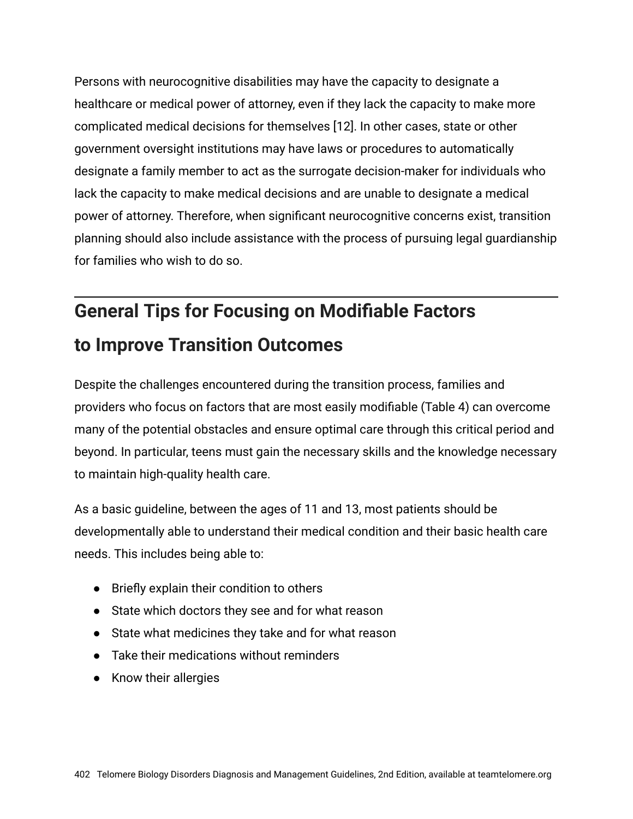Persons with neurocognitive disabilities may have the capacity to designate a healthcare or medical power of attorney, even if they lack the capacity to make more complicated medical decisions for themselves [12]. In other cases, state or other government oversight institutions may have laws or procedures to automatically designate a family member to act as the surrogate decision-maker for individuals who lack the capacity to make medical decisions and are unable to designate a medical power of attorney. Therefore, when significant neurocognitive concerns exist, transition planning should also include assistance with the process of pursuing legal guardianship for families who wish to do so.

# **General Tips for Focusing on Modifiable Factors to Improve Transition Outcomes**

Despite the challenges encountered during the transition process, families and providers who focus on factors that are most easily modifiable (Table 4) can overcome many of the potential obstacles and ensure optimal care through this critical period and beyond. In particular, teens must gain the necessary skills and the knowledge necessary to maintain high-quality health care.

As a basic guideline, between the ages of 11 and 13, most patients should be developmentally able to understand their medical condition and their basic health care needs. This includes being able to:

- Briefly explain their condition to others
- State which doctors they see and for what reason
- State what medicines they take and for what reason
- Take their medications without reminders
- Know their allergies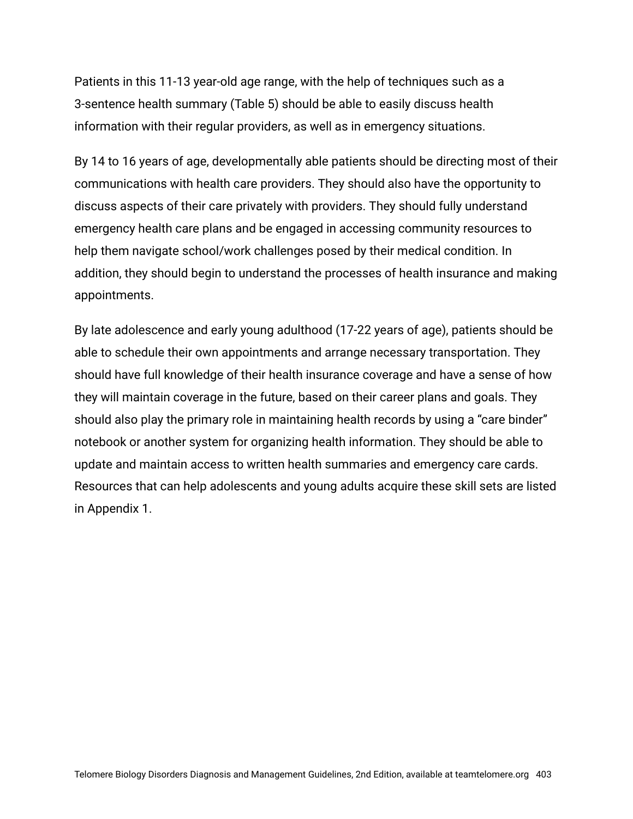Patients in this 11-13 year-old age range, with the help of techniques such as a 3-sentence health summary (Table 5) should be able to easily discuss health information with their regular providers, as well as in emergency situations.

By 14 to 16 years of age, developmentally able patients should be directing most of their communications with health care providers. They should also have the opportunity to discuss aspects of their care privately with providers. They should fully understand emergency health care plans and be engaged in accessing community resources to help them navigate school/work challenges posed by their medical condition. In addition, they should begin to understand the processes of health insurance and making appointments.

By late adolescence and early young adulthood (17-22 years of age), patients should be able to schedule their own appointments and arrange necessary transportation. They should have full knowledge of their health insurance coverage and have a sense of how they will maintain coverage in the future, based on their career plans and goals. They should also play the primary role in maintaining health records by using a "care binder" notebook or another system for organizing health information. They should be able to update and maintain access to written health summaries and emergency care cards. Resources that can help adolescents and young adults acquire these skill sets are listed in Appendix 1.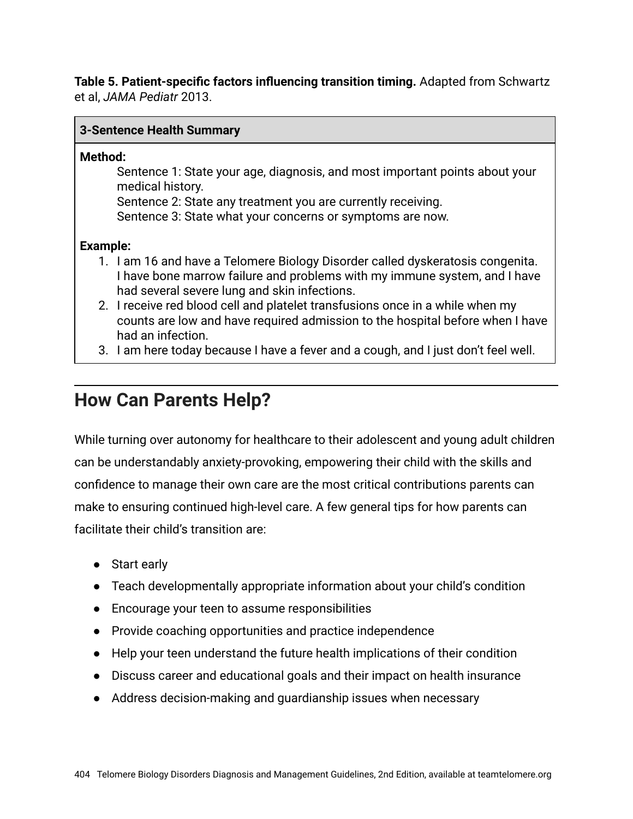**Table 5. Patient-specific factors influencing transition timing.** Adapted from Schwartz et al, *JAMA Pediatr* 2013.

#### **3-Sentence Health Summary**

#### **Method:**

Sentence 1: State your age, diagnosis, and most important points about your medical history.

Sentence 2: State any treatment you are currently receiving.

Sentence 3: State what your concerns or symptoms are now.

#### **Example:**

- 1. I am 16 and have a Telomere Biology Disorder called dyskeratosis congenita. I have bone marrow failure and problems with my immune system, and I have had several severe lung and skin infections.
- 2. I receive red blood cell and platelet transfusions once in a while when my counts are low and have required admission to the hospital before when I have had an infection.
- 3. I am here today because I have a fever and a cough, and I just don't feel well.

## **How Can Parents Help?**

While turning over autonomy for healthcare to their adolescent and young adult children can be understandably anxiety-provoking, empowering their child with the skills and confidence to manage their own care are the most critical contributions parents can make to ensuring continued high-level care. A few general tips for how parents can facilitate their child's transition are:

- Start early
- Teach developmentally appropriate information about your child's condition
- Encourage your teen to assume responsibilities
- Provide coaching opportunities and practice independence
- Help your teen understand the future health implications of their condition
- Discuss career and educational goals and their impact on health insurance
- Address decision-making and guardianship issues when necessary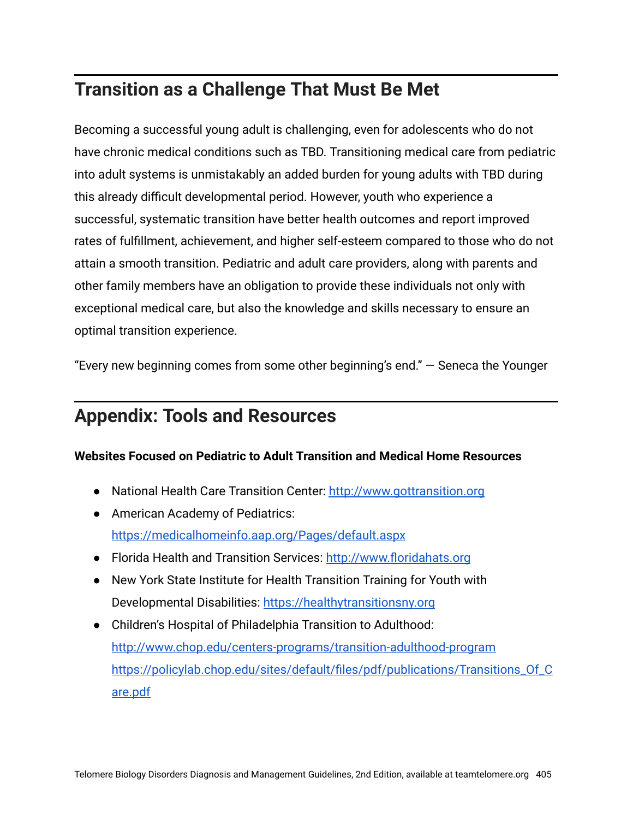# **Transition as a Challenge That Must Be Met**

Becoming a successful young adult is challenging, even for adolescents who do not have chronic medical conditions such as TBD. Transitioning medical care from pediatric into adult systems is unmistakably an added burden for young adults with TBD during this already difficult developmental period. However, youth who experience a successful, systematic transition have better health outcomes and report improved rates of fulfillment, achievement, and higher self-esteem compared to those who do not attain a smooth transition. Pediatric and adult care providers, along with parents and other family members have an obligation to provide these individuals not only with exceptional medical care, but also the knowledge and skills necessary to ensure an optimal transition experience.

"Every new beginning comes from some other beginning's end." ― Seneca the Younger

### **Appendix: Tools and Resources**

#### **Websites Focused on Pediatric to Adult Transition and Medical Home Resources**

- National Health Care Transition Center: [http://www.gottransition.org](http://www.gottransition.org/)
- American Academy of Pediatrics: <https://medicalhomeinfo.aap.org/Pages/default.aspx>
- Florida Health and Transition Services: [http://www.floridahats.org](http://www.floridahats.org/)
- New York State Institute for Health Transition Training for Youth with Developmental Disabilities: [https://healthytransitionsny.org](https://healthytransitionsny.org/)
- Children's Hospital of Philadelphia Transition to Adulthood: <http://www.chop.edu/centers-programs/transition-adulthood-program> [https://policylab.chop.edu/sites/default/files/pdf/publications/Transitions\\_Of\\_C](http://www.chop.edu/centers-programs/transition-adulthood-program) [are.pdf](http://www.chop.edu/centers-programs/transition-adulthood-program)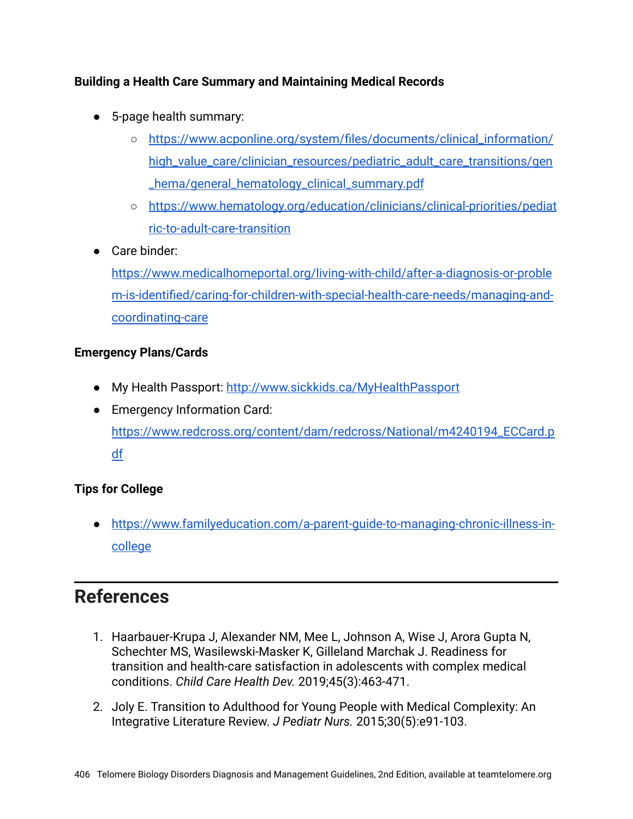#### **Building a Health Care Summary and Maintaining Medical Records**

- 5-page health summary:
	- [https://www.acponline.org/system/files/documents/clinical\\_information/](https://www.acponline.org/system/files/documents/clinical_information/high_value_care/clinician_resources/pediatric_adult_care_transitions/gen_hema/general_hematology_clinical_summary.pdf) [high\\_value\\_care/clinician\\_resources/pediatric\\_adult\\_care\\_transitions/gen](https://www.acponline.org/system/files/documents/clinical_information/high_value_care/clinician_resources/pediatric_adult_care_transitions/gen_hema/general_hematology_clinical_summary.pdf) [\\_hema/general\\_hematology\\_clinical\\_summary.pdf](https://www.acponline.org/system/files/documents/clinical_information/high_value_care/clinician_resources/pediatric_adult_care_transitions/gen_hema/general_hematology_clinical_summary.pdf)
	- [https://www.hematology.org/education/clinicians/clinical-priorities/pediat](https://www.hematology.org/education/clinicians/clinical-priorities/pediatric-to-adult-care-transition) [ric-to-adult-care-transition](https://www.hematology.org/education/clinicians/clinical-priorities/pediatric-to-adult-care-transition)
- Care binder:

[https://www.medicalhomeportal.org/living-with-child/after-a-diagnosis-or-proble](https://www.medicalhomeportal.org/living-with-child/after-a-diagnosis-or-problem-is-identified/caring-for-children-with-special-health-care-needs/managing-and-coordinating-care) [m-is-identified/caring-for-children-with-special-health-care-needs/managing-and](https://www.medicalhomeportal.org/living-with-child/after-a-diagnosis-or-problem-is-identified/caring-for-children-with-special-health-care-needs/managing-and-coordinating-care)[coordinating-care](https://www.medicalhomeportal.org/living-with-child/after-a-diagnosis-or-problem-is-identified/caring-for-children-with-special-health-care-needs/managing-and-coordinating-care)

#### **Emergency Plans/Cards**

- My Health Passport: <http://www.sickkids.ca/MyHealthPassport>
- Emergency Information Card: [https://www.redcross.org/content/dam/redcross/National/m4240194\\_ECCard.p](https://www.redcross.org/content/dam/redcross/National/m4240194_ECCard.pdf) [df](https://www.redcross.org/content/dam/redcross/National/m4240194_ECCard.pdf)

#### **Tips for College**

● [https://www.familyeducation.com/a-parent-guide-to-managing-chronic-illness-in](https://www.familyeducation.com/a-parent-guide-to-managing-chronic-illness-in-college)[college](https://www.familyeducation.com/a-parent-guide-to-managing-chronic-illness-in-college)

## **References**

- 1. Haarbauer-Krupa J, Alexander NM, Mee L, Johnson A, Wise J, Arora Gupta N, Schechter MS, Wasilewski-Masker K, Gilleland Marchak J. Readiness for transition and health-care satisfaction in adolescents with complex medical conditions. *Child Care Health Dev.* 2019;45(3):463-471.
- 2. Joly E. Transition to Adulthood for Young People with Medical Complexity: An Integrative Literature Review. *J Pediatr Nurs.* 2015;30(5):e91-103.